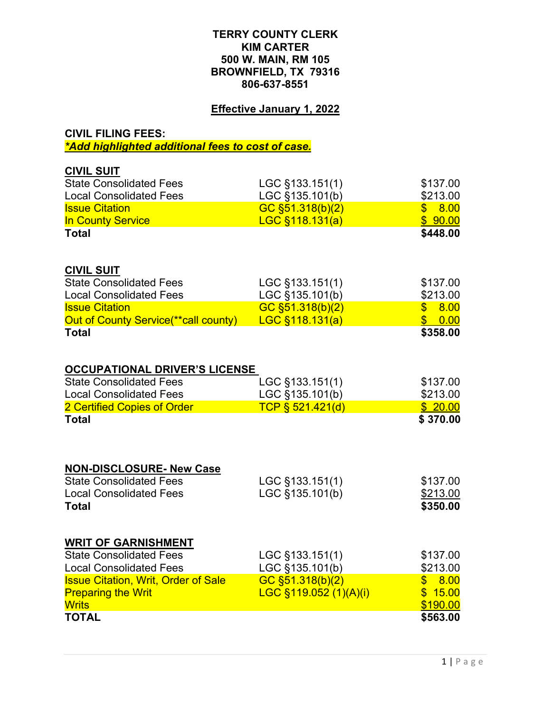## **TERRY COUNTY CLERK KIM CARTER 500 W. MAIN, RM 105 BROWNFIELD, TX 79316 806-637-8551**

## **Effective January 1, 2022**

## **CIVIL FILING FEES:** *\*Add highlighted additional fees to cost of case.*

| <b>TOTAL</b>                                                      |                        | \$563.00            |
|-------------------------------------------------------------------|------------------------|---------------------|
| <b>Writs</b>                                                      |                        | \$190.00            |
| <b>Preparing the Writ</b>                                         | LGC §119.052 (1)(A)(i) | \$15.00             |
| <b>Issue Citation, Writ, Order of Sale</b>                        | GC §51.318(b)(2)       | \$8.00              |
| <b>Local Consolidated Fees</b>                                    | LGC §135.101(b)        | \$213.00            |
| <b>State Consolidated Fees</b>                                    | LGC §133.151(1)        | \$137.00            |
| <b>WRIT OF GARNISHMENT</b>                                        |                        |                     |
| <b>Total</b>                                                      |                        | \$350.00            |
| <b>Local Consolidated Fees</b>                                    | LGC §135.101(b)        | \$213.00            |
| <b>NON-DISCLOSURE- New Case</b><br><b>State Consolidated Fees</b> | LGC §133.151(1)        | \$137.00            |
|                                                                   |                        |                     |
| 2 Certified Copies of Order<br><b>Total</b>                       | TCP § 521.421(d)       | \$20.00<br>\$370.00 |
| <b>Local Consolidated Fees</b>                                    | LGC §135.101(b)        | \$213.00            |
| <b>State Consolidated Fees</b>                                    | LGC §133.151(1)        | \$137.00            |
| <b>OCCUPATIONAL DRIVER'S LICENSE</b>                              |                        |                     |
| <b>Total</b>                                                      |                        | \$358.00            |
| Out of County Service(**call county)                              | $LGC$ §118.131(a)      | $\frac{1}{2}$ 0.00  |
| <b>Issue Citation</b>                                             | GC §51.318(b)(2)       | \$8.00              |
| <b>Local Consolidated Fees</b>                                    | LGC §135.101(b)        | \$213.00            |
| <b>CIVIL SUIT</b><br><b>State Consolidated Fees</b>               | LGC §133.151(1)        | \$137.00            |
| <b>Total</b>                                                      |                        | \$448.00            |
| <b>In County Service</b>                                          | $LGC$ §118.131(a)      | \$90.00             |
| <b>Issue Citation</b>                                             | GC §51.318(b)(2)       | \$8.00              |
| <b>Local Consolidated Fees</b>                                    | LGC §135.101(b)        | \$213.00            |
| <b>State Consolidated Fees</b>                                    | LGC §133.151(1)        | \$137.00            |
| <b>CIVIL SUIT</b>                                                 |                        |                     |